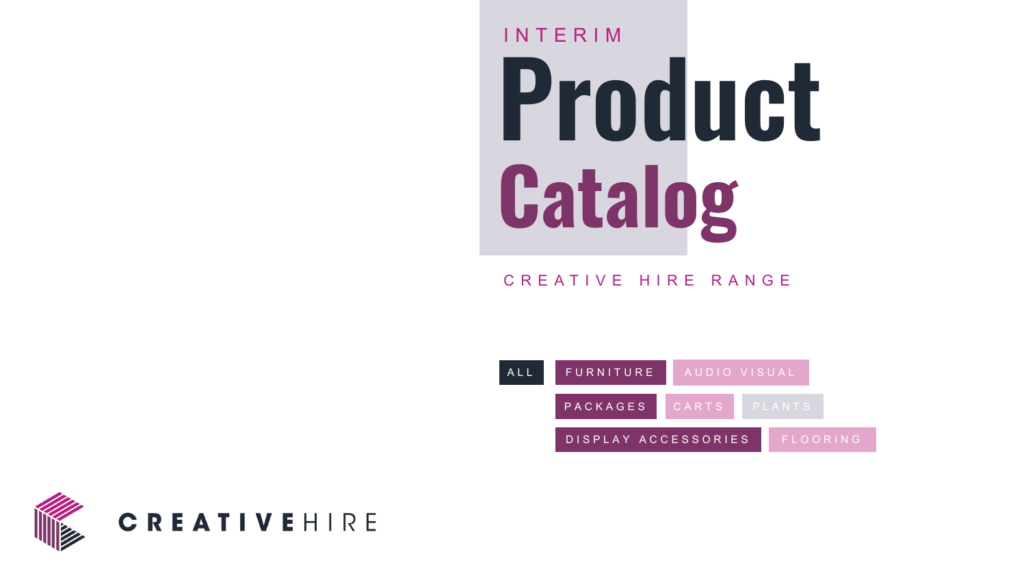### **Product Catalog** INTERIM

CREATIVE HIRE RANGE



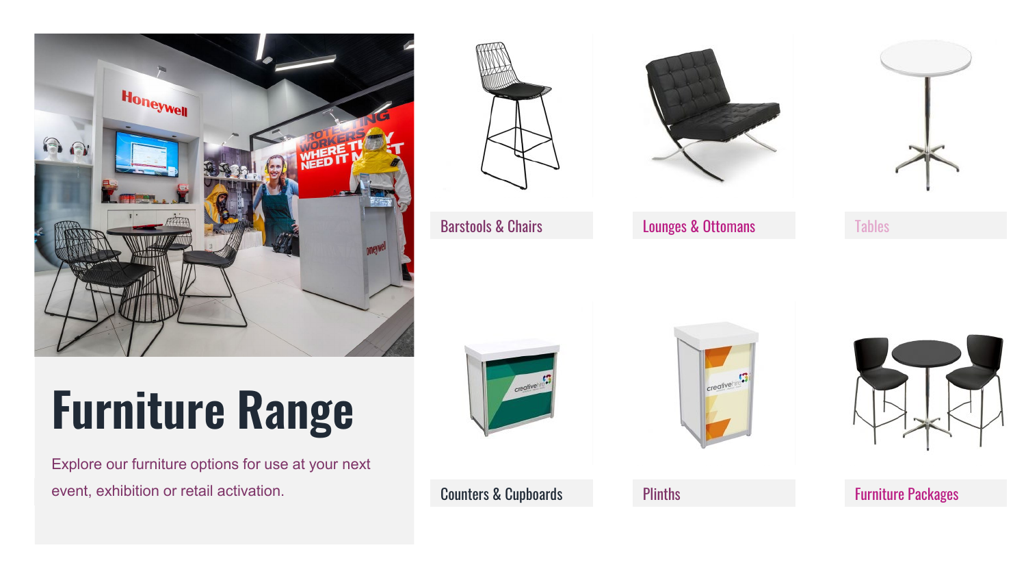<span id="page-1-0"></span>

### **Furniture Range**

Explore our furniture options for use at your next event, exhibition or retail activation.



[Barstools & Chairs](#page-2-0)



[Lounges & Ottomans](#page-4-0)



**[Tables](#page-5-0)** 



[Counters & Cupboards](#page-6-0)



**[Plinths](#page-8-0)** 



[Furniture Packages](#page-10-0)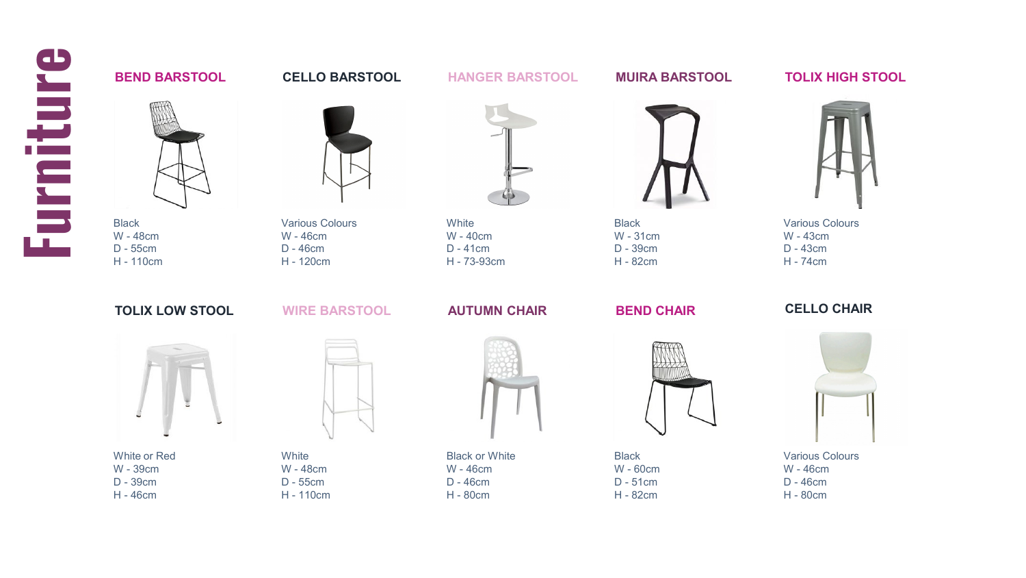<span id="page-2-0"></span>

### **BEND BARSTOOL**

**Black** W - 48cm D - 55cm H - 110cm

**CELLO BARSTOOL**

Various Colours W - 46cm D - 46cm H - 120cm



**HANGER BARSTOOL**

**White** W - 40cm D - 41cm H - 73-93cm **MUIRA BARSTOOL**

**Black** W - 31cm D - 39cm H - 82cm

**BEND CHAIR**



**Black** W - 60cm D - 51cm H - 82cm

**TOLIX HIGH STOOL**



Various Colours W - 43cm D - 43cm H - 74cm

**TOLIX LOW STOOL**



White or Red W - 39cm D - 39cm H - 46cm



**WIRE BARSTOOL**

**White** W - 48cm D - 55cm H - 110cm W - 46cm D - 46cm



**AUTUMN CHAIR**

Black or White H - 80cm

Various Colours W - 46cm D - 46cm H - 80cm

**CELLO CHAIR**

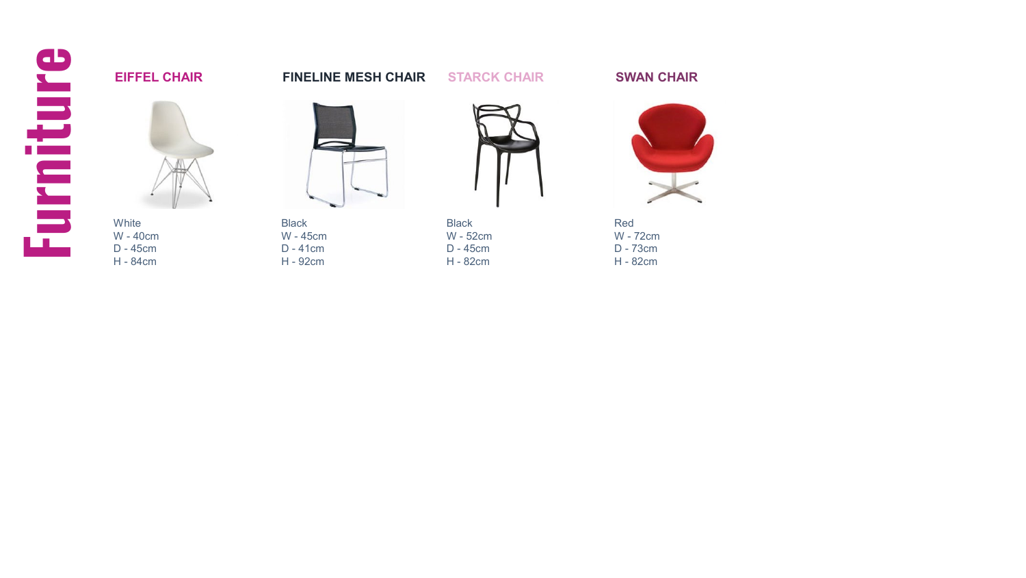

### **EIFFEL CHAIR**

**FINELINE MESH CHAIR**

Black W - 45cm D - 41cm H - 92cm



**STARCK CHAIR**

Black W - 52cm D - 45cm H - 82cm

**SWAN CHAIR**



Red W - 72cm D - 73cm H - 82cm

White W - 40cm D - 45cm H - 84cm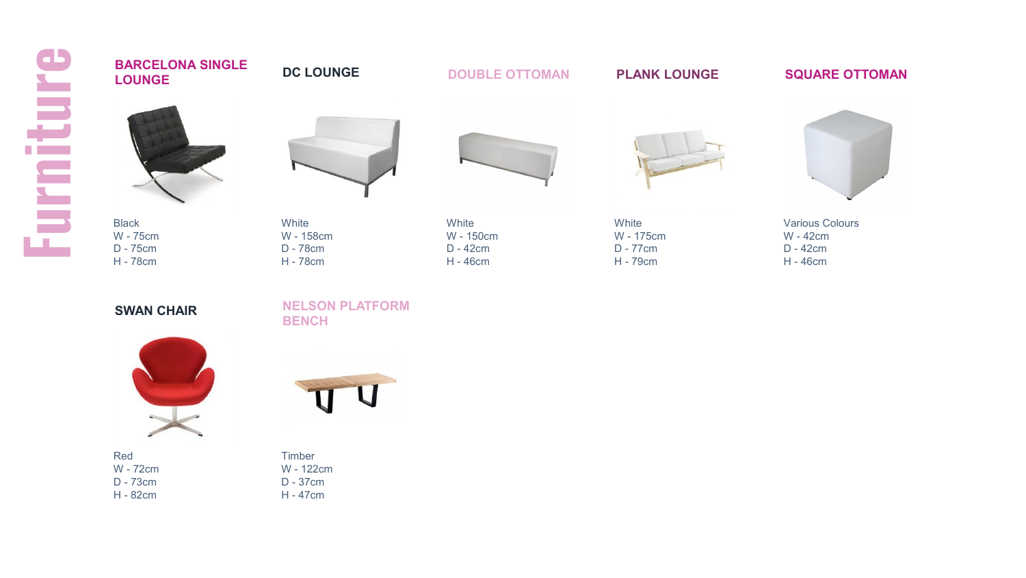<span id="page-4-0"></span>

### Black W - 75cm D - 75cm H - 78cm **White** W - 158cm D - 78cm H - 78cm White W - 150cm D - 42cm **DOUBLE OTTOMAN** White W - 175cm D - 77cm H - 79cm **PLANK LOUNGE SQUARE OTTOMAN BARCELONA SINGLE LOUNGE DC LOUNGE**

**SWAN CHAIR**

### **NELSON PLATFORM BENCH**



Red W - 72cm D - 73cm H - 82cm



H - 46cm



Various Colours W - 42cm D - 42cm H - 46cm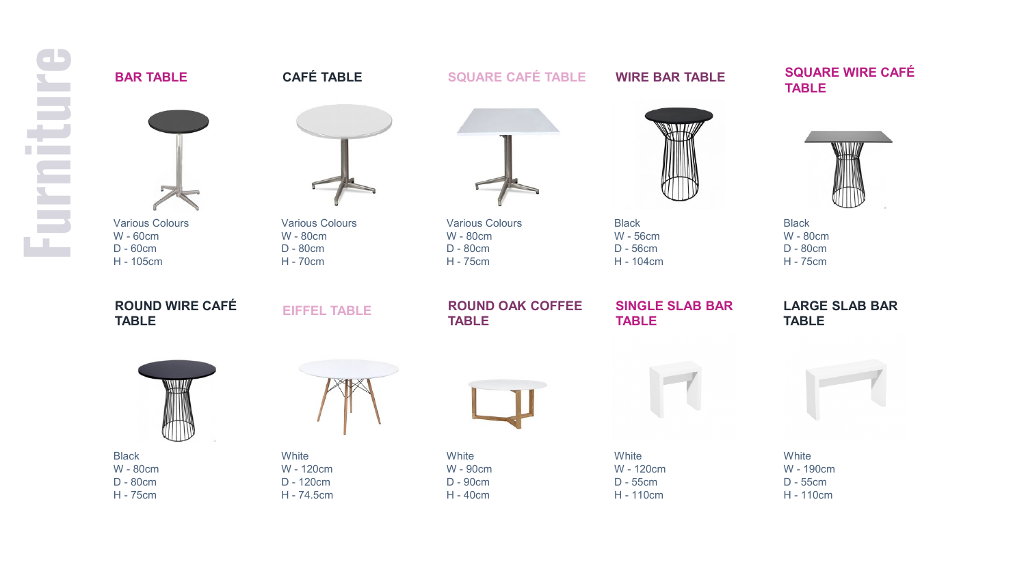<span id="page-5-0"></span>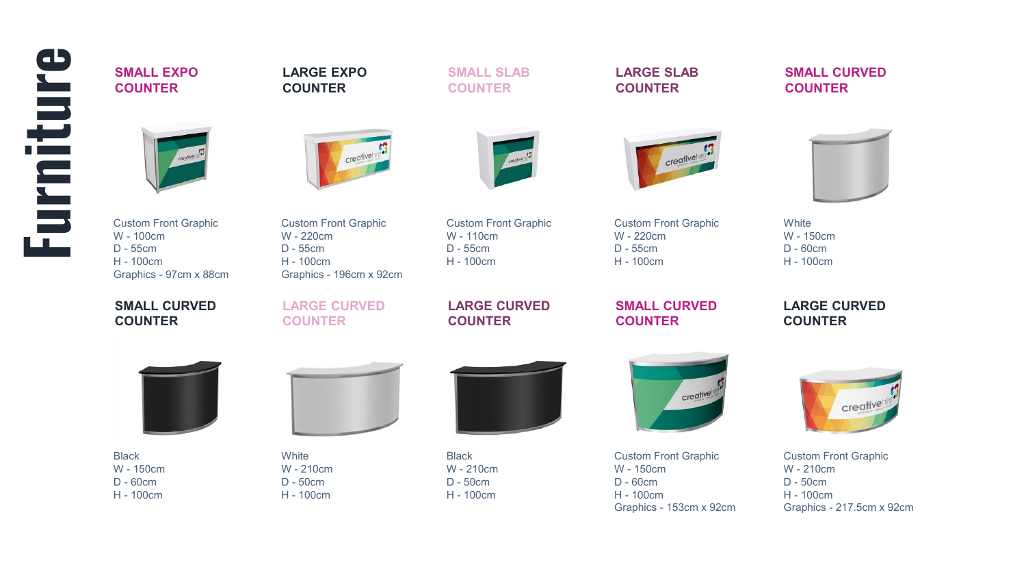# <span id="page-6-0"></span>**Furniture**

**SMALL EXPO COUNTER**

**LARGE EXPO COUNTER**



creativehir



**SMALL SLAB COUNTER**

**LARGE SLAB COUNTER**

creativehi

**SMALL CURVED** 

**COUNTER**

Custom Front Graphic W - 100cm D - 55cm H - 100cm Graphics - 97cm x 88cm

**SMALL CURVED COUNTER**

Custom Front Graphic W - 220cm D - 55cm H - 100cm Graphics - 196cm x 92cm

**LARGE CURVED COUNTER**

Custom Front Graphic W - 110cm D - 55cm H - 100cm

**LARGE CURVED COUNTER**



**SMALL CURVED COUNTER**

**White** W - 150cm D - 60cm H - 100cm

> **LARGE CURVED COUNTER**



Black W - 150cm D - 60cm H - 100cm



**White** W - 210cm D - 50cm H - 100cm



Black W - 210cm D - 50cm H - 100cm



Custom Front Graphic W - 150cm D - 60cm H - 100cm Graphics - 153cm x 92cm



Custom Front Graphic W - 210cm D - 50cm H - 100cm Graphics - 217.5cm x 92cm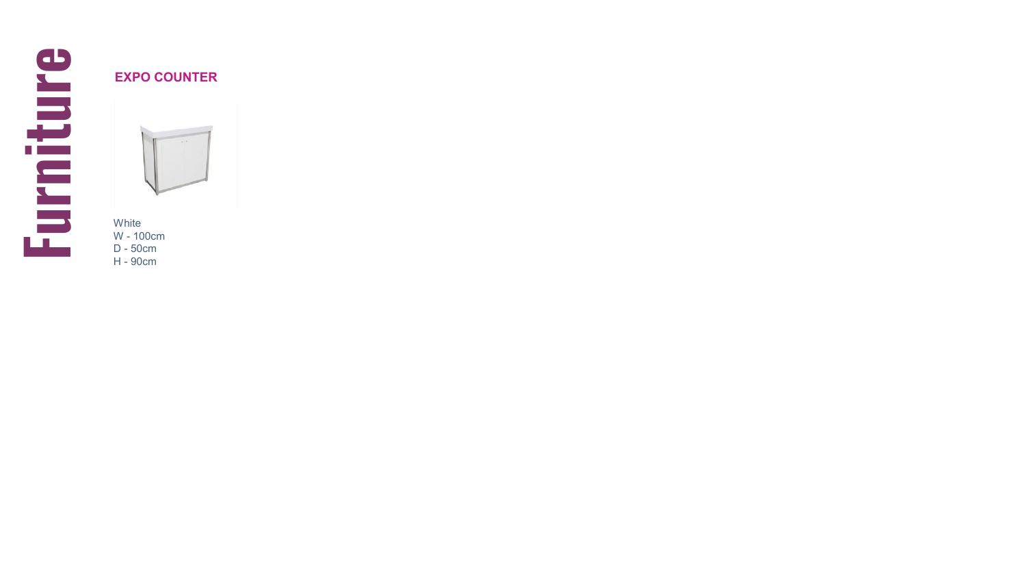

### **EXPO COUNTER**

White W - 100cm D - 50cm H - 90cm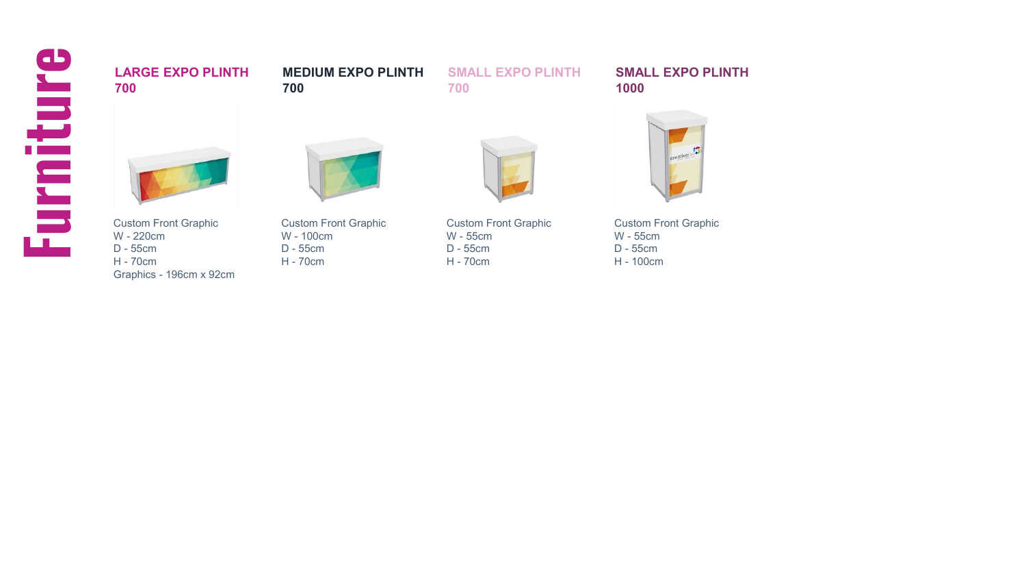# <span id="page-8-0"></span>**Furniture**

## **700**

**LARGE EXPO PLINTH** 

**MEDIUM EXPO PLINTH** 

**SMALL EXPO PLINTH** 

Custom Front Graphic W - 220cm D - 55cm H - 70cm Graphics - 196cm x 92cm Custom Front Graphic W - 100cm D - 55cm H - 70cm

**700**

Custom Front Graphic W - 55cm D - 55cm H - 70cm

**700**

**SMALL EXPO PLINTH 1000**



Custom Front Graphic W - 55cm D - 55cm H - 100cm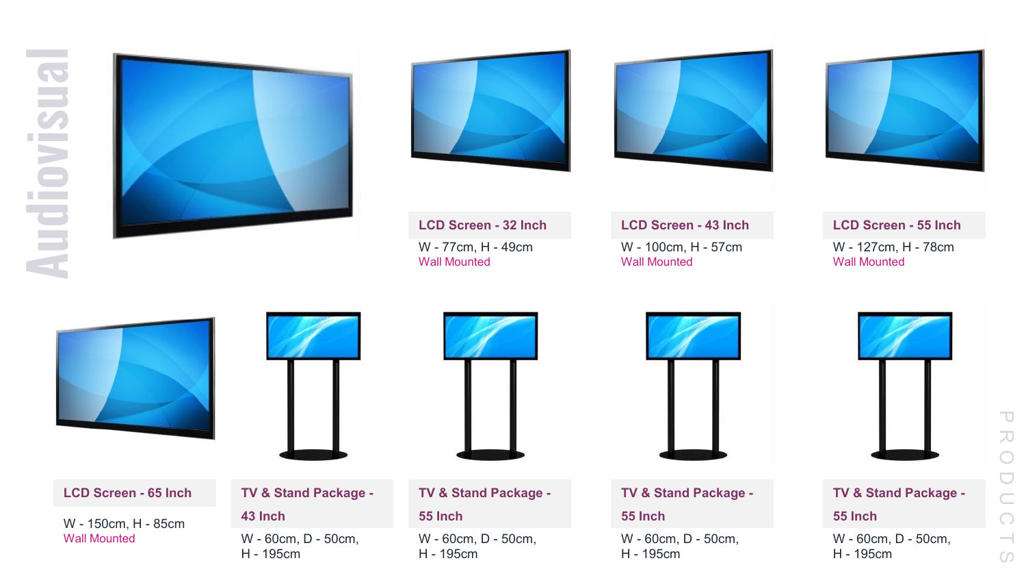<span id="page-9-0"></span>







W - 127cm, H - 78cm Wall Mounted **LCD Screen - 55 Inch**





**LCD Screen - 65 Inch**

**43 Inch** W - 150cm, H - 85cm Wall Mounted

### **TV & Stand Package -**

W - 60cm, D - 50cm, H - 195cm



W - 60cm, D - 50cm,

**TV & Stand Package -**

H - 195cm

**55 Inch**





W - 60cm, D - 50cm, H - 195cm

**TV & Stand Package -**

### **55 Inch**

W - 60cm, D - 50cm, H - 195cm

W - 77cm, H - 49cm Wall Mounted **LCD Screen - 32 Inch**

W - 100cm, H - 57cm Wall Mounted **LCD Screen - 43 Inch**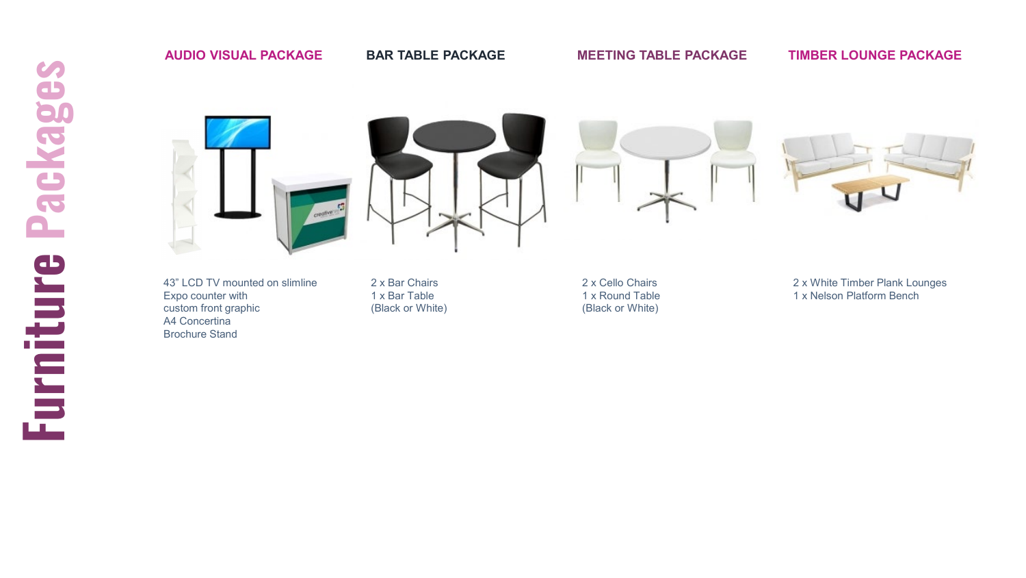## <span id="page-10-0"></span>Packages **Furniture Packages**Furniture

### **AUDIO VISUAL PACKAGE**

### **BAR TABLE PACKAGE**

**MEETING TABLE PACKAGE**

### **TIMBER LOUNGE PACKAGE**



43" LCD TV mounted on slimline Expo counter with custom front graphic A4 Concertina Brochure Stand

2 x Bar Chairs 1 x Bar Table (Black or White) 2 x Cello Chairs 1 x Round Table (Black or White)



2 x White Timber Plank Lounges 1 x Nelson Platform Bench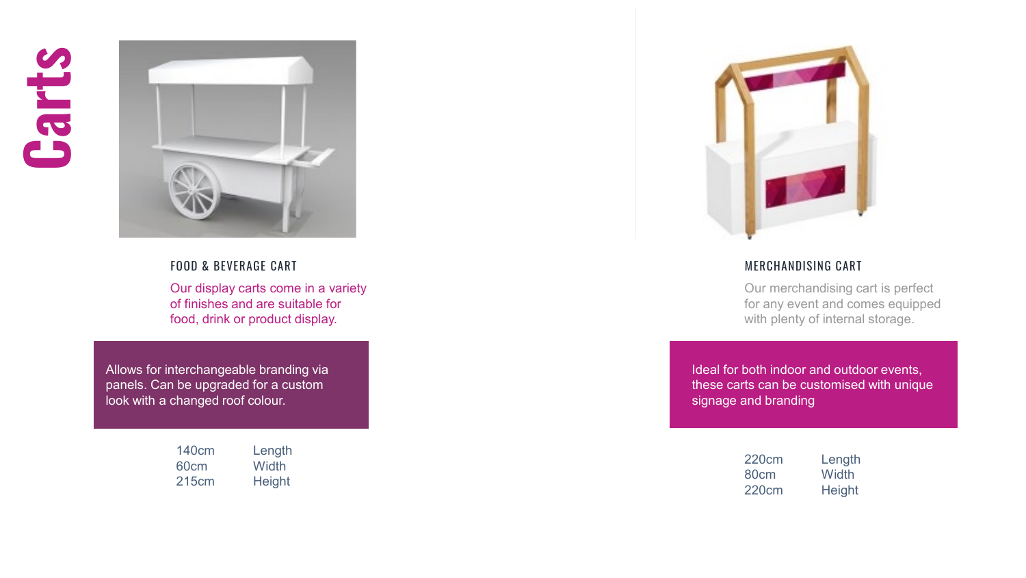## <span id="page-11-0"></span>**Carts**



FOOD & BEVERAGE CART

Our display carts come in a variety of finishes and are suitable for food, drink or product display.

Allows for interchangeable branding via panels. Can be upgraded for a custom look with a changed roof colour.

| 140cm            | Length |
|------------------|--------|
| 60 <sub>cm</sub> | Width  |
| 215cm            | Height |



### MERCHANDISING CART

Our merchandising cart is perfect for any event and comes equipped with plenty of internal storage.

Ideal for both indoor and outdoor events, these carts can be customised with unique signage and branding

| 220cm            | Length |
|------------------|--------|
| 80 <sub>cm</sub> | Width  |
| 220cm            | Height |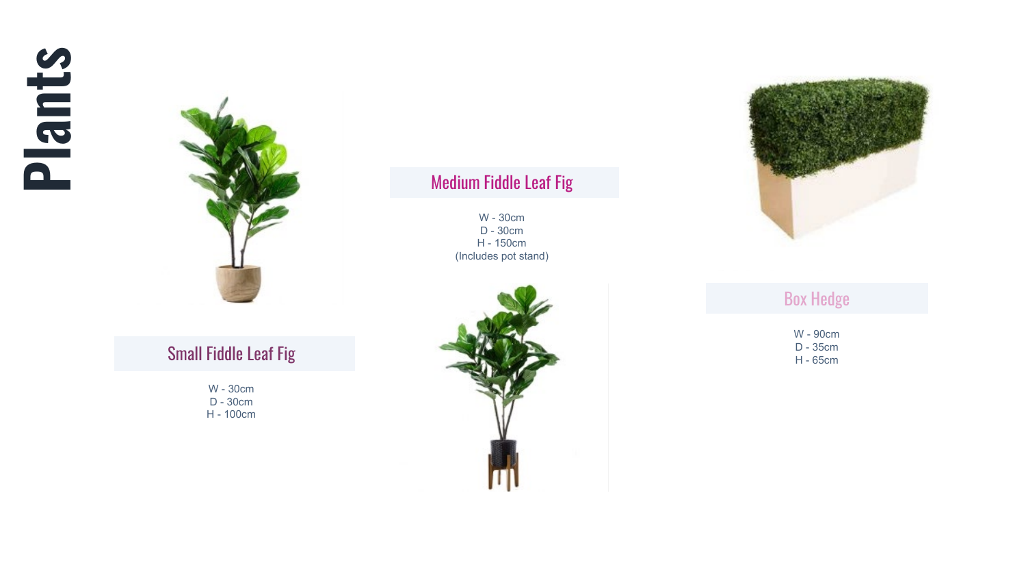<span id="page-12-0"></span>



### Small Fiddle Leaf Fig

W - 30cm D - 30cm H - 100cm

### Medium Fiddle Leaf Fig

W - 30cm D - 30cm H - 150cm (Includes pot stand)





Box Hedge

W - 90cm D - 35cm H - 65cm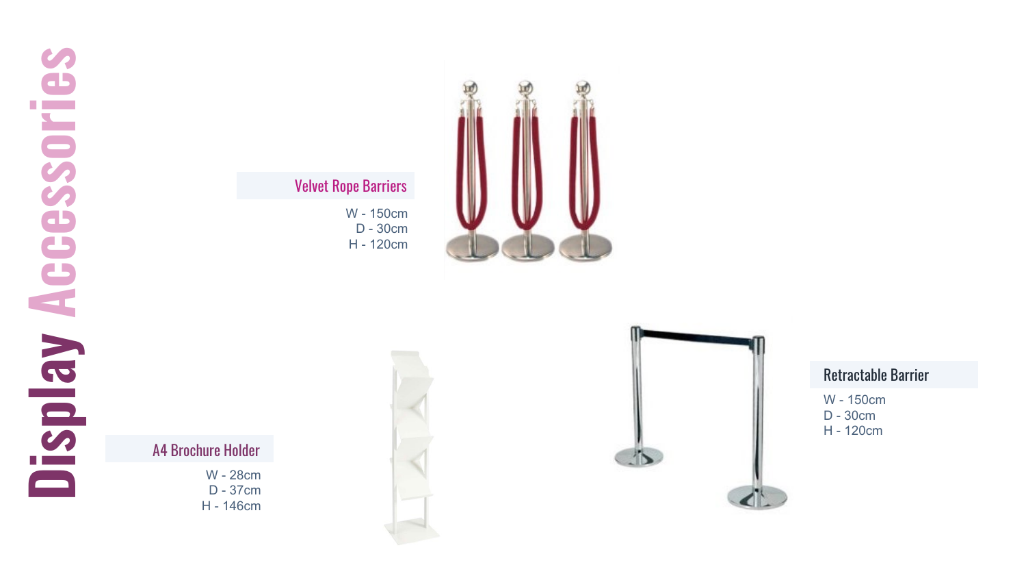### <span id="page-13-0"></span>Velvet Rope Barriers

W - 150cm D - 30cm H - 120cm



A4 Brochure Holder

W - 28cm D - 37cm H - 146cm





Retractable Barrier

W - 150cm D - 30cm H - 120cm